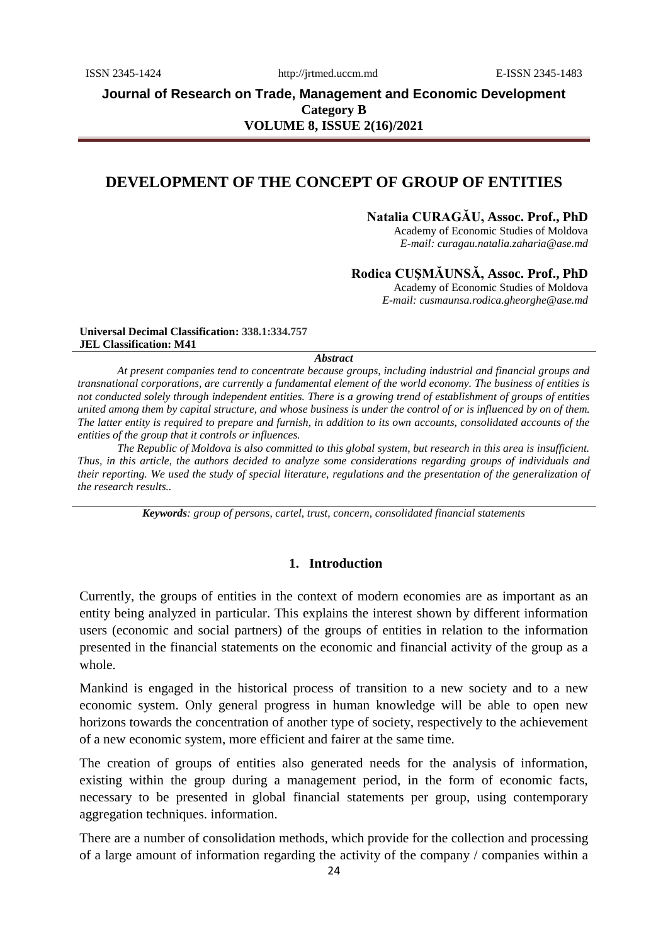# **Journal of Research on Trade, Management and Economic Development Category B VOLUME 8, ISSUE 2(16)/2021**

# **DEVELOPMENT OF THE CONCEPT OF GROUP OF ENTITIES**

## **Natalia CURAGĂU, Assoc. Prof., PhD**

Academy of Economic Studies of Moldova *E-mail: curagau.natalia.zaharia@ase.md*

## **Rodica CUŞMĂUNSĂ, Assoc. Prof., PhD**

Academy of Economic Studies of Moldova *E-mail: [cusmaunsa.rodica.gheorghe@ase.md](mailto:cusmaunsa.rodica.gheorghe@ase.md)*

**Universal Decimal Classification: 338.1:334.757 JEL Classification: M41**

#### *Abstract*

*At present companies tend to concentrate because groups, including industrial and financial groups and transnational corporations, are currently a fundamental element of the world economy. The business of entities is not conducted solely through independent entities. There is a growing trend of establishment of groups of entities united among them by capital structure, and whose business is under the control of or is influenced by on of them. The latter entity is required to prepare and furnish, in addition to its own accounts, consolidated accounts of the entities of the group that it controls or influences.* 

*The Republic of Moldova is also committed to this global system, but research in this area is insufficient. Thus, in this article, the authors decided to analyze some considerations regarding groups of individuals and their reporting. We used the study of special literature, regulations and the presentation of the generalization of the research results..*

*Keywords: group of persons, cartel, trust, concern, consolidated financial statements*

### **1. Introduction**

Currently, the groups of entities in the context of modern economies are as important as an entity being analyzed in particular. This explains the interest shown by different information users (economic and social partners) of the groups of entities in relation to the information presented in the financial statements on the economic and financial activity of the group as a whole.

Mankind is engaged in the historical process of transition to a new society and to a new economic system. Only general progress in human knowledge will be able to open new horizons towards the concentration of another type of society, respectively to the achievement of a new economic system, more efficient and fairer at the same time.

The creation of groups of entities also generated needs for the analysis of information, existing within the group during a management period, in the form of economic facts, necessary to be presented in global financial statements per group, using contemporary aggregation techniques. information.

There are a number of consolidation methods, which provide for the collection and processing of a large amount of information regarding the activity of the company / companies within a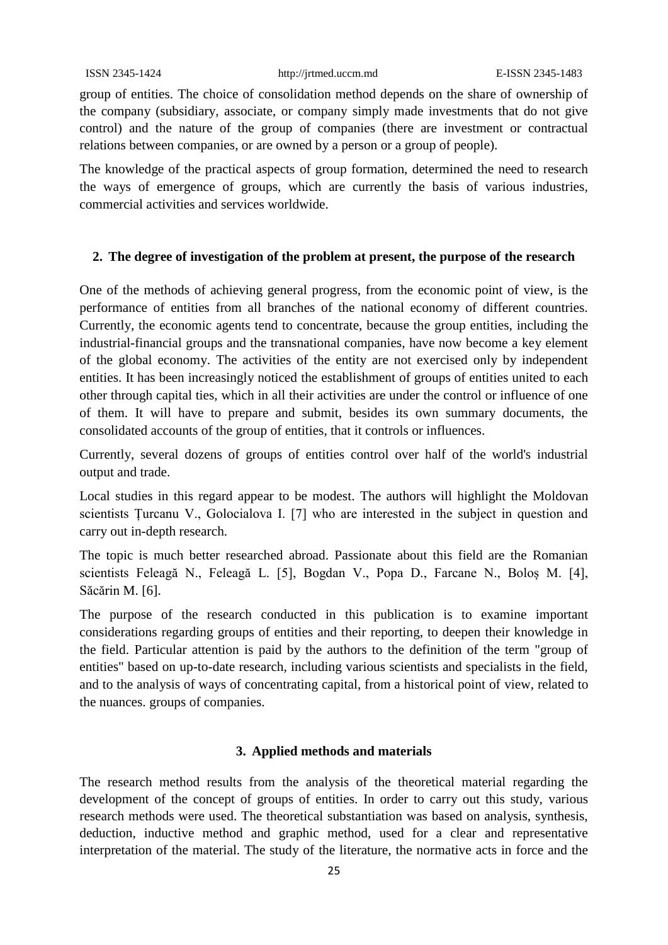group of entities. The choice of consolidation method depends on the share of ownership of the company (subsidiary, associate, or company simply made investments that do not give control) and the nature of the group of companies (there are investment or contractual relations between companies, or are owned by a person or a group of people).

The knowledge of the practical aspects of group formation, determined the need to research the ways of emergence of groups, which are currently the basis of various industries, commercial activities and services worldwide.

## **2. The degree of investigation of the problem at present, the purpose of the research**

One of the methods of achieving general progress, from the economic point of view, is the performance of entities from all branches of the national economy of different countries. Currently, the economic agents tend to concentrate, because the group entities, including the industrial-financial groups and the transnational companies, have now become a key element of the global economy. The activities of the entity are not exercised only by independent entities. It has been increasingly noticed the establishment of groups of entities united to each other through capital ties, which in all their activities are under the control or influence of one of them. It will have to prepare and submit, besides its own summary documents, the consolidated accounts of the group of entities, that it controls or influences.

Currently, several dozens of groups of entities control over half of the world's industrial output and trade.

Local studies in this regard appear to be modest. The authors will highlight the Moldovan scientists Țurcanu V., Golocialova I. [7] who are interested in the subject in question and carry out in-depth research.

The topic is much better researched abroad. Passionate about this field are the Romanian scientists Feleagă N., Feleagă L. [5], Bogdan V., Popa D., Farcane N., Boloș M. [4], Săcărin M. [6].

The purpose of the research conducted in this publication is to examine important considerations regarding groups of entities and their reporting, to deepen their knowledge in the field. Particular attention is paid by the authors to the definition of the term "group of entities" based on up-to-date research, including various scientists and specialists in the field, and to the analysis of ways of concentrating capital, from a historical point of view, related to the nuances. groups of companies.

## **3. Applied methods and materials**

The research method results from the analysis of the theoretical material regarding the development of the concept of groups of entities. In order to carry out this study, various research methods were used. The theoretical substantiation was based on analysis, synthesis, deduction, inductive method and graphic method, used for a clear and representative interpretation of the material. The study of the literature, the normative acts in force and the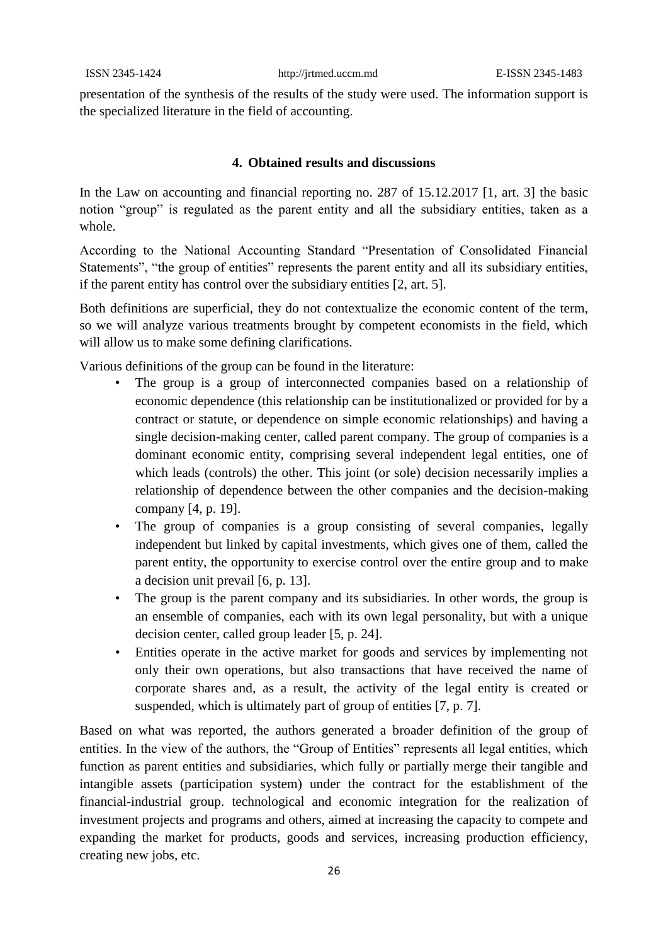presentation of the synthesis of the results of the study were used. The information support is the specialized literature in the field of accounting.

## **4. Obtained results and discussions**

In the Law on accounting and financial reporting no. 287 of 15.12.2017 [1, art. 3] the basic notion "group" is regulated as the parent entity and all the subsidiary entities, taken as a whole.

According to the National Accounting Standard "Presentation of Consolidated Financial Statements", "the group of entities" represents the parent entity and all its subsidiary entities, if the parent entity has control over the subsidiary entities [2, art. 5].

Both definitions are superficial, they do not contextualize the economic content of the term, so we will analyze various treatments brought by competent economists in the field, which will allow us to make some defining clarifications.

Various definitions of the group can be found in the literature:

- The group is a group of interconnected companies based on a relationship of economic dependence (this relationship can be institutionalized or provided for by a contract or statute, or dependence on simple economic relationships) and having a single decision-making center, called parent company. The group of companies is a dominant economic entity, comprising several independent legal entities, one of which leads (controls) the other. This joint (or sole) decision necessarily implies a relationship of dependence between the other companies and the decision-making company [4, p. 19].
- The group of companies is a group consisting of several companies, legally independent but linked by capital investments, which gives one of them, called the parent entity, the opportunity to exercise control over the entire group and to make a decision unit prevail [6, p. 13].
- The group is the parent company and its subsidiaries. In other words, the group is an ensemble of companies, each with its own legal personality, but with a unique decision center, called group leader [5, p. 24].
- Entities operate in the active market for goods and services by implementing not only their own operations, but also transactions that have received the name of corporate shares and, as a result, the activity of the legal entity is created or suspended, which is ultimately part of group of entities [7, p. 7].

Based on what was reported, the authors generated a broader definition of the group of entities. In the view of the authors, the "Group of Entities" represents all legal entities, which function as parent entities and subsidiaries, which fully or partially merge their tangible and intangible assets (participation system) under the contract for the establishment of the financial-industrial group. technological and economic integration for the realization of investment projects and programs and others, aimed at increasing the capacity to compete and expanding the market for products, goods and services, increasing production efficiency, creating new jobs, etc.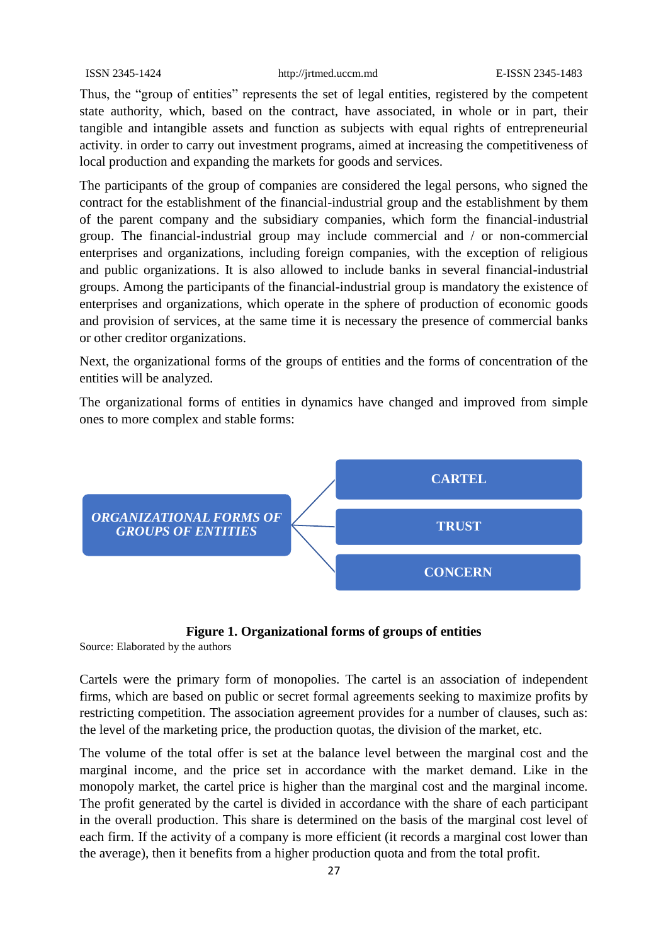Thus, the "group of entities" represents the set of legal entities, registered by the competent state authority, which, based on the contract, have associated, in whole or in part, their tangible and intangible assets and function as subjects with equal rights of entrepreneurial activity. in order to carry out investment programs, aimed at increasing the competitiveness of local production and expanding the markets for goods and services.

The participants of the group of companies are considered the legal persons, who signed the contract for the establishment of the financial-industrial group and the establishment by them of the parent company and the subsidiary companies, which form the financial-industrial group. The financial-industrial group may include commercial and / or non-commercial enterprises and organizations, including foreign companies, with the exception of religious and public organizations. It is also allowed to include banks in several financial-industrial groups. Among the participants of the financial-industrial group is mandatory the existence of enterprises and organizations, which operate in the sphere of production of economic goods and provision of services, at the same time it is necessary the presence of commercial banks or other creditor organizations.

Next, the organizational forms of the groups of entities and the forms of concentration of the entities will be analyzed.

The organizational forms of entities in dynamics have changed and improved from simple ones to more complex and stable forms:



## **Figure 1. Organizational forms of groups of entities**

Source: Elaborated by the authors

Cartels were the primary form of monopolies. The cartel is an association of independent firms, which are based on public or secret formal agreements seeking to maximize profits by restricting competition. The association agreement provides for a number of clauses, such as: the level of the marketing price, the production quotas, the division of the market, etc.

The volume of the total offer is set at the balance level between the marginal cost and the marginal income, and the price set in accordance with the market demand. Like in the monopoly market, the cartel price is higher than the marginal cost and the marginal income. The profit generated by the cartel is divided in accordance with the share of each participant in the overall production. This share is determined on the basis of the marginal cost level of each firm. If the activity of a company is more efficient (it records a marginal cost lower than the average), then it benefits from a higher production quota and from the total profit.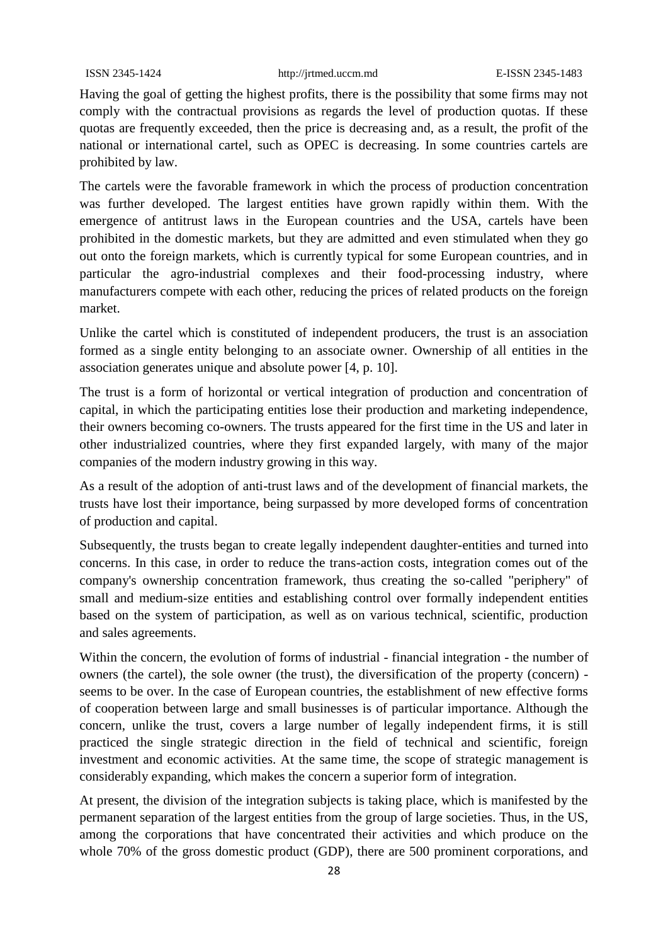Having the goal of getting the highest profits, there is the possibility that some firms may not comply with the contractual provisions as regards the level of production quotas. If these quotas are frequently exceeded, then the price is decreasing and, as a result, the profit of the national or international cartel, such as OPEC is decreasing. In some countries cartels are prohibited by law.

The cartels were the favorable framework in which the process of production concentration was further developed. The largest entities have grown rapidly within them. With the emergence of antitrust laws in the European countries and the USA, cartels have been prohibited in the domestic markets, but they are admitted and even stimulated when they go out onto the foreign markets, which is currently typical for some European countries, and in particular the agro-industrial complexes and their food-processing industry, where manufacturers compete with each other, reducing the prices of related products on the foreign market.

Unlike the cartel which is constituted of independent producers, the trust is an association formed as a single entity belonging to an associate owner. Ownership of all entities in the association generates unique and absolute power [4, p. 10].

The trust is a form of horizontal or vertical integration of production and concentration of capital, in which the participating entities lose their production and marketing independence, their owners becoming co-owners. The trusts appeared for the first time in the US and later in other industrialized countries, where they first expanded largely, with many of the major companies of the modern industry growing in this way.

As a result of the adoption of anti-trust laws and of the development of financial markets, the trusts have lost their importance, being surpassed by more developed forms of concentration of production and capital.

Subsequently, the trusts began to create legally independent daughter-entities and turned into concerns. In this case, in order to reduce the trans-action costs, integration comes out of the company's ownership concentration framework, thus creating the so-called "periphery" of small and medium-size entities and establishing control over formally independent entities based on the system of participation, as well as on various technical, scientific, production and sales agreements.

Within the concern, the evolution of forms of industrial - financial integration - the number of owners (the cartel), the sole owner (the trust), the diversification of the property (concern) seems to be over. In the case of European countries, the establishment of new effective forms of cooperation between large and small businesses is of particular importance. Although the concern, unlike the trust, covers a large number of legally independent firms, it is still practiced the single strategic direction in the field of technical and scientific, foreign investment and economic activities. At the same time, the scope of strategic management is considerably expanding, which makes the concern a superior form of integration.

At present, the division of the integration subjects is taking place, which is manifested by the permanent separation of the largest entities from the group of large societies. Thus, in the US, among the corporations that have concentrated their activities and which produce on the whole 70% of the gross domestic product (GDP), there are 500 prominent corporations, and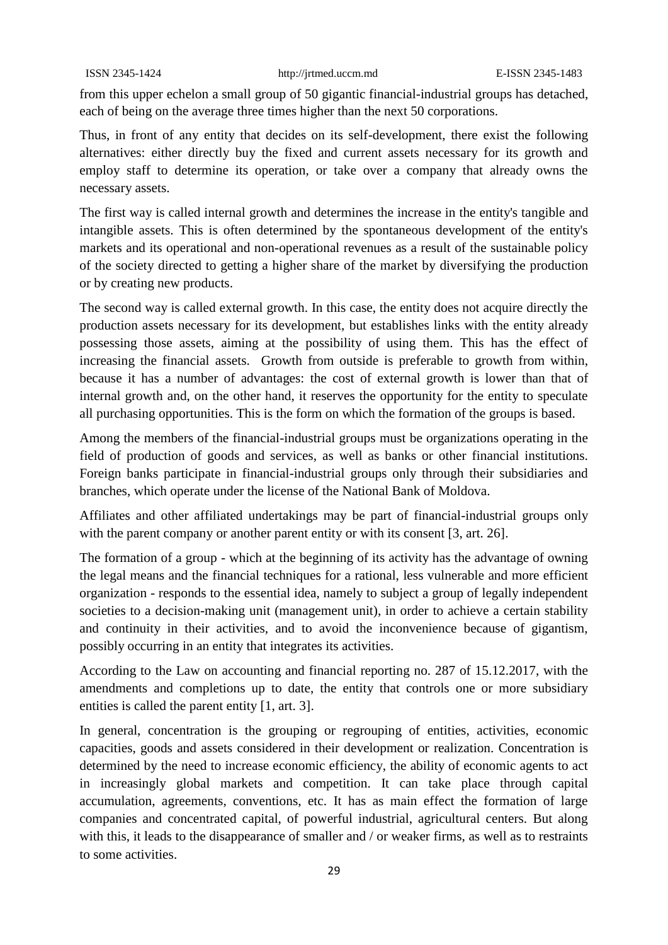from this upper echelon a small group of 50 gigantic financial-industrial groups has detached, each of being on the average three times higher than the next 50 corporations.

Thus, in front of any entity that decides on its self-development, there exist the following alternatives: either directly buy the fixed and current assets necessary for its growth and employ staff to determine its operation, or take over a company that already owns the necessary assets.

The first way is called internal growth and determines the increase in the entity's tangible and intangible assets. This is often determined by the spontaneous development of the entity's markets and its operational and non-operational revenues as a result of the sustainable policy of the society directed to getting a higher share of the market by diversifying the production or by creating new products.

The second way is called external growth. In this case, the entity does not acquire directly the production assets necessary for its development, but establishes links with the entity already possessing those assets, aiming at the possibility of using them. This has the effect of increasing the financial assets. Growth from outside is preferable to growth from within, because it has a number of advantages: the cost of external growth is lower than that of internal growth and, on the other hand, it reserves the opportunity for the entity to speculate all purchasing opportunities. This is the form on which the formation of the groups is based.

Among the members of the financial-industrial groups must be organizations operating in the field of production of goods and services, as well as banks or other financial institutions. Foreign banks participate in financial-industrial groups only through their subsidiaries and branches, which operate under the license of the National Bank of Moldova.

Affiliates and other affiliated undertakings may be part of financial-industrial groups only with the parent company or another parent entity or with its consent [3, art. 26].

The formation of a group - which at the beginning of its activity has the advantage of owning the legal means and the financial techniques for a rational, less vulnerable and more efficient organization - responds to the essential idea, namely to subject a group of legally independent societies to a decision-making unit (management unit), in order to achieve a certain stability and continuity in their activities, and to avoid the inconvenience because of gigantism, possibly occurring in an entity that integrates its activities.

According to the Law on accounting and financial reporting no. 287 of 15.12.2017, with the amendments and completions up to date, the entity that controls one or more subsidiary entities is called the parent entity [1, art. 3].

In general, concentration is the grouping or regrouping of entities, activities, economic capacities, goods and assets considered in their development or realization. Concentration is determined by the need to increase economic efficiency, the ability of economic agents to act in increasingly global markets and competition. It can take place through capital accumulation, agreements, conventions, etc. It has as main effect the formation of large companies and concentrated capital, of powerful industrial, agricultural centers. But along with this, it leads to the disappearance of smaller and / or weaker firms, as well as to restraints to some activities.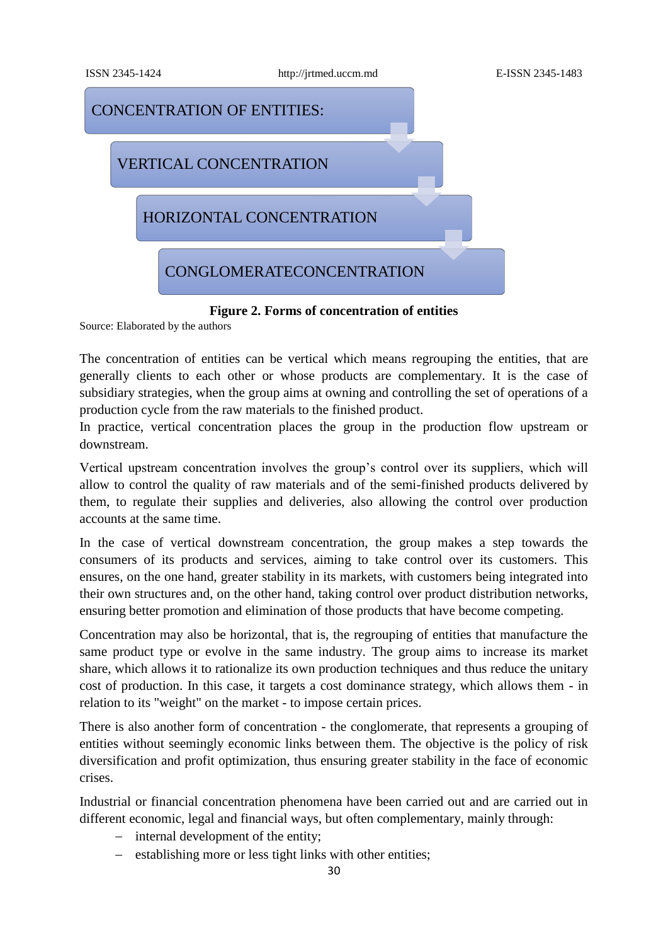

**Figure 2. Forms of concentration of entities**

Source: Elaborated by the authors

The concentration of entities can be vertical which means regrouping the entities, that are generally clients to each other or whose products are complementary. It is the case of subsidiary strategies, when the group aims at owning and controlling the set of operations of a production cycle from the raw materials to the finished product.

In practice, vertical concentration places the group in the production flow upstream or downstream.

Vertical upstream concentration involves the group's control over its suppliers, which will allow to control the quality of raw materials and of the semi-finished products delivered by them, to regulate their supplies and deliveries, also allowing the control over production accounts at the same time.

In the case of vertical downstream concentration, the group makes a step towards the consumers of its products and services, aiming to take control over its customers. This ensures, on the one hand, greater stability in its markets, with customers being integrated into their own structures and, on the other hand, taking control over product distribution networks, ensuring better promotion and elimination of those products that have become competing.

Concentration may also be horizontal, that is, the regrouping of entities that manufacture the same product type or evolve in the same industry. The group aims to increase its market share, which allows it to rationalize its own production techniques and thus reduce the unitary cost of production. In this case, it targets a cost dominance strategy, which allows them - in relation to its "weight" on the market - to impose certain prices.

There is also another form of concentration - the conglomerate, that represents a grouping of entities without seemingly economic links between them. The objective is the policy of risk diversification and profit optimization, thus ensuring greater stability in the face of economic crises.

Industrial or financial concentration phenomena have been carried out and are carried out in different economic, legal and financial ways, but often complementary, mainly through:

- $\blacksquare$  internal development of the entity;
- establishing more or less tight links with other entities;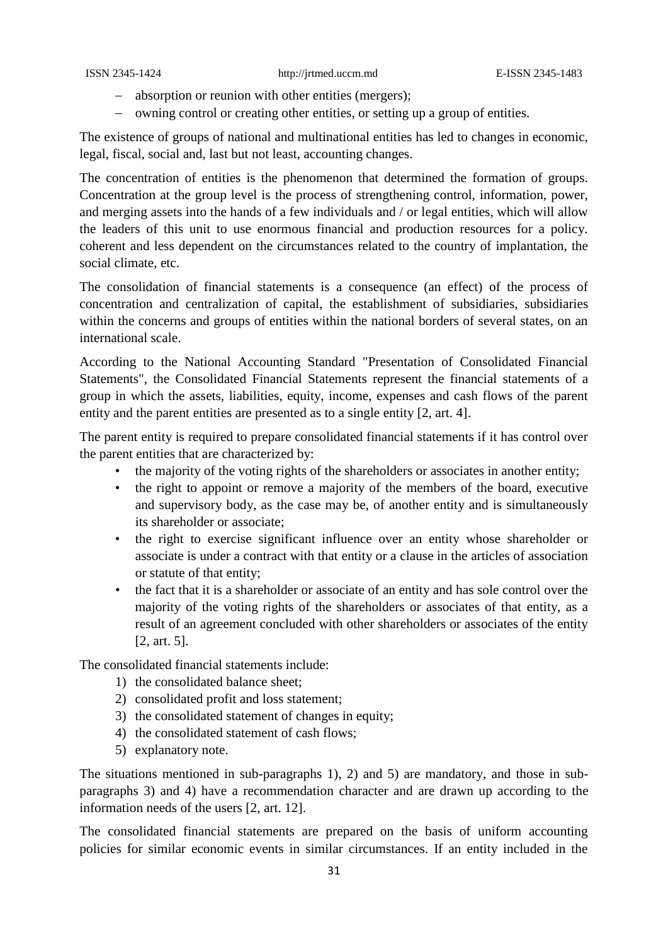- absorption or reunion with other entities (mergers);
- owning control or creating other entities, or setting up a group of entities.

The existence of groups of national and multinational entities has led to changes in economic, legal, fiscal, social and, last but not least, accounting changes.

The concentration of entities is the phenomenon that determined the formation of groups. Concentration at the group level is the process of strengthening control, information, power, and merging assets into the hands of a few individuals and / or legal entities, which will allow the leaders of this unit to use enormous financial and production resources for a policy. coherent and less dependent on the circumstances related to the country of implantation, the social climate, etc.

The consolidation of financial statements is a consequence (an effect) of the process of concentration and centralization of capital, the establishment of subsidiaries, subsidiaries within the concerns and groups of entities within the national borders of several states, on an international scale.

According to the National Accounting Standard "Presentation of Consolidated Financial Statements", the Consolidated Financial Statements represent the financial statements of a group in which the assets, liabilities, equity, income, expenses and cash flows of the parent entity and the parent entities are presented as to a single entity [2, art. 4].

The parent entity is required to prepare consolidated financial statements if it has control over the parent entities that are characterized by:

- the majority of the voting rights of the shareholders or associates in another entity;
- the right to appoint or remove a majority of the members of the board, executive and supervisory body, as the case may be, of another entity and is simultaneously its shareholder or associate;
- the right to exercise significant influence over an entity whose shareholder or associate is under a contract with that entity or a clause in the articles of association or statute of that entity;
- the fact that it is a shareholder or associate of an entity and has sole control over the majority of the voting rights of the shareholders or associates of that entity, as a result of an agreement concluded with other shareholders or associates of the entity [2, art. 5].

The consolidated financial statements include:

- 1) the consolidated balance sheet;
- 2) consolidated profit and loss statement;
- 3) the consolidated statement of changes in equity;
- 4) the consolidated statement of cash flows;
- 5) explanatory note.

The situations mentioned in sub-paragraphs 1), 2) and 5) are mandatory, and those in subparagraphs 3) and 4) have a recommendation character and are drawn up according to the information needs of the users [2, art. 12].

The consolidated financial statements are prepared on the basis of uniform accounting policies for similar economic events in similar circumstances. If an entity included in the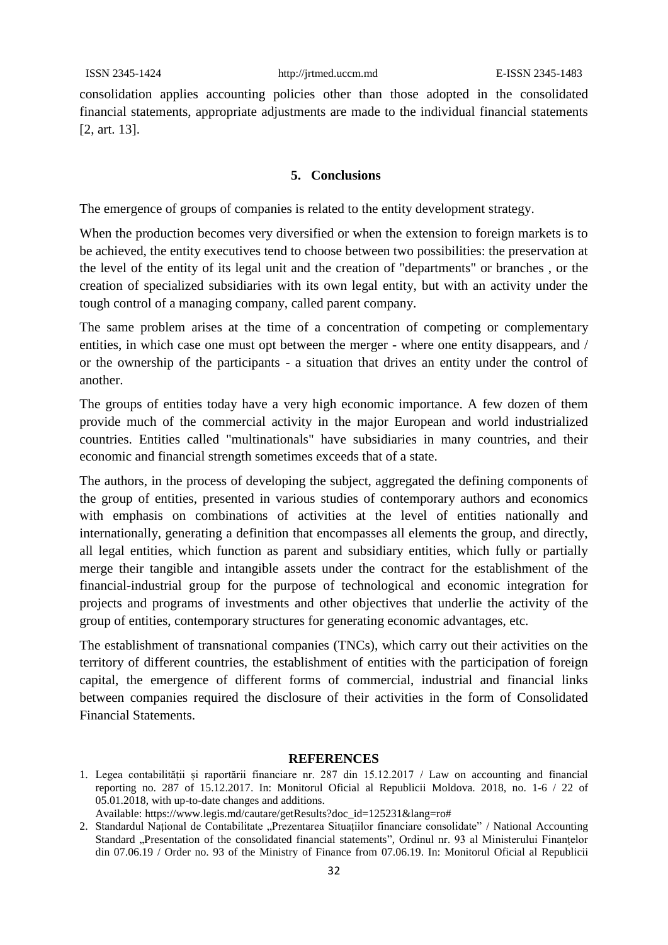consolidation applies accounting policies other than those adopted in the consolidated financial statements, appropriate adjustments are made to the individual financial statements [2, art. 13].

#### **5. Conclusions**

The emergence of groups of companies is related to the entity development strategy.

When the production becomes very diversified or when the extension to foreign markets is to be achieved, the entity executives tend to choose between two possibilities: the preservation at the level of the entity of its legal unit and the creation of "departments" or branches , or the creation of specialized subsidiaries with its own legal entity, but with an activity under the tough control of a managing company, called parent company.

The same problem arises at the time of a concentration of competing or complementary entities, in which case one must opt between the merger - where one entity disappears, and / or the ownership of the participants - a situation that drives an entity under the control of another.

The groups of entities today have a very high economic importance. A few dozen of them provide much of the commercial activity in the major European and world industrialized countries. Entities called "multinationals" have subsidiaries in many countries, and their economic and financial strength sometimes exceeds that of a state.

The authors, in the process of developing the subject, aggregated the defining components of the group of entities, presented in various studies of contemporary authors and economics with emphasis on combinations of activities at the level of entities nationally and internationally, generating a definition that encompasses all elements the group, and directly, all legal entities, which function as parent and subsidiary entities, which fully or partially merge their tangible and intangible assets under the contract for the establishment of the financial-industrial group for the purpose of technological and economic integration for projects and programs of investments and other objectives that underlie the activity of the group of entities, contemporary structures for generating economic advantages, etc.

The establishment of transnational companies (TNCs), which carry out their activities on the territory of different countries, the establishment of entities with the participation of foreign capital, the emergence of different forms of commercial, industrial and financial links between companies required the disclosure of their activities in the form of Consolidated Financial Statements.

#### **REFERENCES**

<sup>1.</sup> Legea contabilității și raportării financiare nr. 287 din 15.12.2017 / Law on accounting and financial reporting no. 287 of 15.12.2017. In: Monitorul Oficial al Republicii Moldova. 2018, no. 1-6 / 22 of 05.01.2018, with up-to-date changes and additions. Available: [https://www.legis.md/cautare/getResults?doc\\_id=125231&lang=ro#](https://www.legis.md/cautare/getResults?doc_id=125231&lang=ro)

<sup>2.</sup> Standardul Național de Contabilitate "Prezentarea Situațiilor financiare consolidate" / National Accounting Standard "Presentation of the consolidated financial statements", Ordinul nr. 93 al Ministerului Finanțelor din 07.06.19 / Order no. 93 of the Ministry of Finance from 07.06.19. In: Monitorul Oficial al Republicii